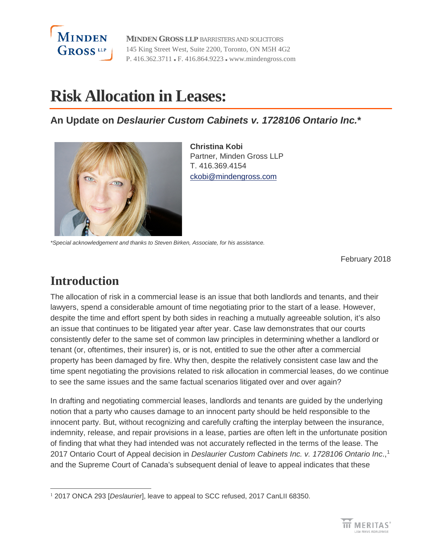

**MINDEN GROSS LLP** BARRISTERS AND SOLICITORS 145 King Street West, Suite 2200, Toronto, ON M5H 4G2 P. 416.362.3711 F. 416.864.9223 www.mindengross.com

# **Risk Allocation in Leases:**

**An Update on** *Deslaurier Custom Cabinets v. 1728106 Ontario Inc.***\***



**Christina Kobi** Partner, Minden Gross LLP T. 416.369.4154 [ckobi@mindengross.com](mailto:ckobi@mindengross.com)

*\*Special acknowledgement and thanks to Steven Birken, Associate, for his assistance.*

February 2018

## **Introduction**

The allocation of risk in a commercial lease is an issue that both landlords and tenants, and their lawyers, spend a considerable amount of time negotiating prior to the start of a lease. However, despite the time and effort spent by both sides in reaching a mutually agreeable solution, it's also an issue that continues to be litigated year after year. Case law demonstrates that our courts consistently defer to the same set of common law principles in determining whether a landlord or tenant (or, oftentimes, their insurer) is, or is not, entitled to sue the other after a commercial property has been damaged by fire. Why then, despite the relatively consistent case law and the time spent negotiating the provisions related to risk allocation in commercial leases, do we continue to see the same issues and the same factual scenarios litigated over and over again?

In drafting and negotiating commercial leases, landlords and tenants are guided by the underlying notion that a party who causes damage to an innocent party should be held responsible to the innocent party. But, without recognizing and carefully crafting the interplay between the insurance, indemnity, release, and repair provisions in a lease, parties are often left in the unfortunate position of finding that what they had intended was not accurately reflected in the terms of the lease. The 2017 Ontario Court of Appeal decision in *Deslaurier Custom Cabinets Inc. v. 1728106 Ontario Inc*., [1](#page-0-0) and the Supreme Court of Canada's subsequent denial of leave to appeal indicates that these

<span id="page-0-0"></span> $\overline{a}$ <sup>1</sup> 2017 ONCA 293 [Deslaurier], leave to appeal to SCC refused, 2017 CanLII 68350.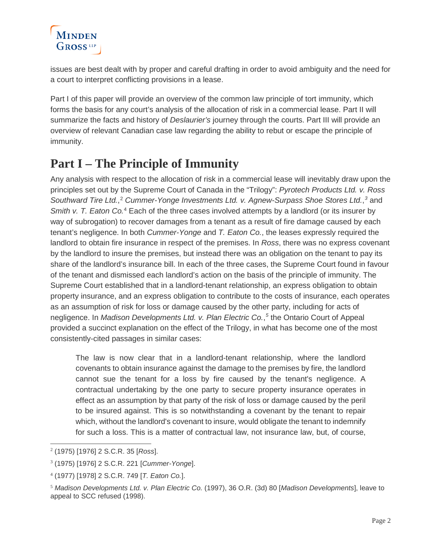

issues are best dealt with by proper and careful drafting in order to avoid ambiguity and the need for a court to interpret conflicting provisions in a lease.

Part I of this paper will provide an overview of the common law principle of tort immunity, which forms the basis for any court's analysis of the allocation of risk in a commercial lease. Part II will summarize the facts and history of *Deslaurier's* journey through the courts. Part III will provide an overview of relevant Canadian case law regarding the ability to rebut or escape the principle of immunity.

### **Part I – The Principle of Immunity**

Any analysis with respect to the allocation of risk in a commercial lease will inevitably draw upon the principles set out by the Supreme Court of Canada in the "Trilogy": *Pyrotech Products Ltd. v. Ross*  Southward Tire Ltd.,<sup>[2](#page-1-0)</sup> Cummer-Yonge Investments Ltd. v. Agnew-Surpass Shoe Stores Ltd.,<sup>[3](#page-1-1)</sup> and *Smith v. T. Eaton Co.<sup>[4](#page-1-2)</sup>* Each of the three cases involved attempts by a landlord (or its insurer by way of subrogation) to recover damages from a tenant as a result of fire damage caused by each tenant's negligence. In both *Cummer-Yonge* and *T. Eaton Co.*, the leases expressly required the landlord to obtain fire insurance in respect of the premises. In *Ross*, there was no express covenant by the landlord to insure the premises, but instead there was an obligation on the tenant to pay its share of the landlord's insurance bill. In each of the three cases, the Supreme Court found in favour of the tenant and dismissed each landlord's action on the basis of the principle of immunity. The Supreme Court established that in a landlord-tenant relationship, an express obligation to obtain property insurance, and an express obligation to contribute to the costs of insurance, each operates as an assumption of risk for loss or damage caused by the other party, including for acts of negligence. In *Madison Developments Ltd. v. Plan Electric Co.*, *[5](#page-1-3)* the Ontario Court of Appeal provided a succinct explanation on the effect of the Trilogy, in what has become one of the most consistently-cited passages in similar cases:

The law is now clear that in a landlord-tenant relationship, where the landlord covenants to obtain insurance against the damage to the premises by fire, the landlord cannot sue the tenant for a loss by fire caused by the tenant's negligence. A contractual undertaking by the one party to secure property insurance operates in effect as an assumption by that party of the risk of loss or damage caused by the peril to be insured against. This is so notwithstanding a covenant by the tenant to repair which, without the landlord's covenant to insure, would obligate the tenant to indemnify for such a loss. This is a matter of contractual law, not insurance law, but, of course,

<span id="page-1-0"></span> $\overline{a}$ <sup>2</sup> (1975) [1976] 2 S.C.R. 35 [*Ross*].

<span id="page-1-1"></span><sup>3</sup> (1975) [1976] 2 S.C.R. 221 [*Cummer-Yonge*].

<span id="page-1-2"></span><sup>4</sup> (1977) [1978] 2 S.C.R. 749 [*T. Eaton Co.*].

<span id="page-1-3"></span><sup>5</sup> *Madison Developments Ltd. v. Plan Electric Co.* (1997), 36 O.R. (3d) 80 [*Madison Developments*], leave to appeal to SCC refused (1998).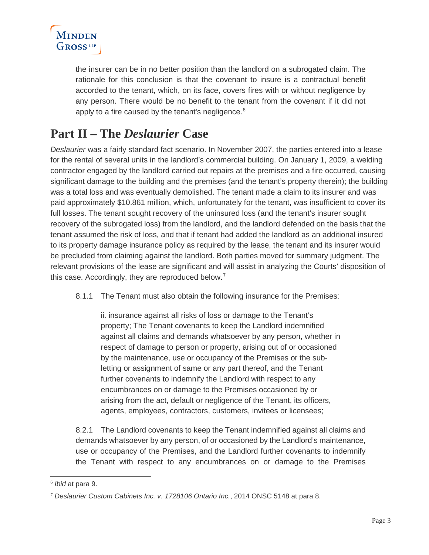

the insurer can be in no better position than the landlord on a subrogated claim. The rationale for this conclusion is that the covenant to insure is a contractual benefit accorded to the tenant, which, on its face, covers fires with or without negligence by any person. There would be no benefit to the tenant from the covenant if it did not apply to a fire caused by the tenant's negligence.<sup>[6](#page-2-0)</sup>

### **Part II – The** *Deslaurier* **Case**

*Deslaurier* was a fairly standard fact scenario. In November 2007, the parties entered into a lease for the rental of several units in the landlord's commercial building. On January 1, 2009, a welding contractor engaged by the landlord carried out repairs at the premises and a fire occurred, causing significant damage to the building and the premises (and the tenant's property therein); the building was a total loss and was eventually demolished. The tenant made a claim to its insurer and was paid approximately \$10.861 million, which, unfortunately for the tenant, was insufficient to cover its full losses. The tenant sought recovery of the uninsured loss (and the tenant's insurer sought recovery of the subrogated loss) from the landlord, and the landlord defended on the basis that the tenant assumed the risk of loss, and that if tenant had added the landlord as an additional insured to its property damage insurance policy as required by the lease, the tenant and its insurer would be precluded from claiming against the landlord. Both parties moved for summary judgment. The relevant provisions of the lease are significant and will assist in analyzing the Courts' disposition of this case. Accordingly, they are reproduced below.<sup>[7](#page-2-1)</sup>

8.1.1 The Tenant must also obtain the following insurance for the Premises:

ii. insurance against all risks of loss or damage to the Tenant's property; The Tenant covenants to keep the Landlord indemnified against all claims and demands whatsoever by any person, whether in respect of damage to person or property, arising out of or occasioned by the maintenance, use or occupancy of the Premises or the subletting or assignment of same or any part thereof, and the Tenant further covenants to indemnify the Landlord with respect to any encumbrances on or damage to the Premises occasioned by or arising from the act, default or negligence of the Tenant, its officers, agents, employees, contractors, customers, invitees or licensees;

8.2.1 The Landlord covenants to keep the Tenant indemnified against all claims and demands whatsoever by any person, of or occasioned by the Landlord's maintenance, use or occupancy of the Premises, and the Landlord further covenants to indemnify the Tenant with respect to any encumbrances on or damage to the Premises

<span id="page-2-0"></span> $\overline{a}$ <sup>6</sup> *Ibid* at para 9.

<span id="page-2-1"></span><sup>7</sup> *Deslaurier Custom Cabinets Inc. v. 1728106 Ontario Inc.*, 2014 ONSC 5148 at para 8.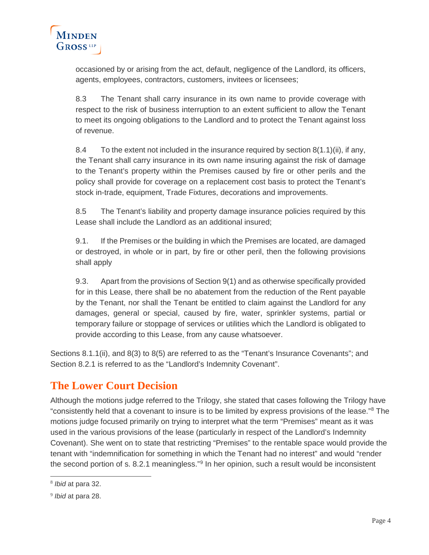

occasioned by or arising from the act, default, negligence of the Landlord, its officers, agents, employees, contractors, customers, invitees or licensees;

8.3 The Tenant shall carry insurance in its own name to provide coverage with respect to the risk of business interruption to an extent sufficient to allow the Tenant to meet its ongoing obligations to the Landlord and to protect the Tenant against loss of revenue.

8.4 To the extent not included in the insurance required by section 8(1.1)(ii), if any, the Tenant shall carry insurance in its own name insuring against the risk of damage to the Tenant's property within the Premises caused by fire or other perils and the policy shall provide for coverage on a replacement cost basis to protect the Tenant's stock in-trade, equipment, Trade Fixtures, decorations and improvements.

8.5 The Tenant's liability and property damage insurance policies required by this Lease shall include the Landlord as an additional insured;

9.1. If the Premises or the building in which the Premises are located, are damaged or destroyed, in whole or in part, by fire or other peril, then the following provisions shall apply

9.3. Apart from the provisions of Section 9(1) and as otherwise specifically provided for in this Lease, there shall be no abatement from the reduction of the Rent payable by the Tenant, nor shall the Tenant be entitled to claim against the Landlord for any damages, general or special, caused by fire, water, sprinkler systems, partial or temporary failure or stoppage of services or utilities which the Landlord is obligated to provide according to this Lease, from any cause whatsoever.

Sections 8.1.1(ii), and 8(3) to 8(5) are referred to as the "Tenant's Insurance Covenants"; and Section 8.2.1 is referred to as the "Landlord's Indemnity Covenant".

#### **The Lower Court Decision**

Although the motions judge referred to the Trilogy, she stated that cases following the Trilogy have "consistently held that a covenant to insure is to be limited by express provisions of the lease."[8](#page-3-0) The motions judge focused primarily on trying to interpret what the term "Premises" meant as it was used in the various provisions of the lease (particularly in respect of the Landlord's Indemnity Covenant). She went on to state that restricting "Premises" to the rentable space would provide the tenant with "indemnification for something in which the Tenant had no interest" and would "render the second portion of s. 8.2.1 meaningless."[9](#page-3-1) In her opinion, such a result would be inconsistent

<span id="page-3-0"></span> $\overline{a}$ <sup>8</sup> *Ibid* at para 32.

<span id="page-3-1"></span><sup>9</sup> *Ibid* at para 28.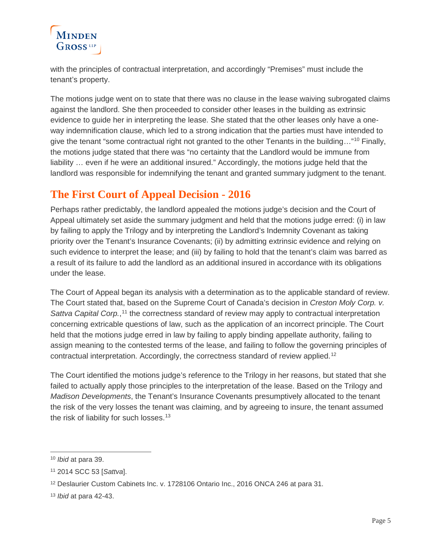## MINDEN GROSS<sup>LLP</sup>

with the principles of contractual interpretation, and accordingly "Premises" must include the tenant's property.

The motions judge went on to state that there was no clause in the lease waiving subrogated claims against the landlord. She then proceeded to consider other leases in the building as extrinsic evidence to guide her in interpreting the lease. She stated that the other leases only have a oneway indemnification clause, which led to a strong indication that the parties must have intended to give the tenant "some contractual right not granted to the other Tenants in the building…["10](#page-4-0) Finally, the motions judge stated that there was "no certainty that the Landlord would be immune from liability … even if he were an additional insured." Accordingly, the motions judge held that the landlord was responsible for indemnifying the tenant and granted summary judgment to the tenant.

#### **The First Court of Appeal Decision - 2016**

Perhaps rather predictably, the landlord appealed the motions judge's decision and the Court of Appeal ultimately set aside the summary judgment and held that the motions judge erred: (i) in law by failing to apply the Trilogy and by interpreting the Landlord's Indemnity Covenant as taking priority over the Tenant's Insurance Covenants; (ii) by admitting extrinsic evidence and relying on such evidence to interpret the lease; and (iii) by failing to hold that the tenant's claim was barred as a result of its failure to add the landlord as an additional insured in accordance with its obligations under the lease.

The Court of Appeal began its analysis with a determination as to the applicable standard of review. The Court stated that, based on the Supreme Court of Canada's decision in *Creston Moly Corp. v.*  Sattva Capital Corp.,<sup>[11](#page-4-1)</sup> the correctness standard of review may apply to contractual interpretation concerning extricable questions of law, such as the application of an incorrect principle. The Court held that the motions judge erred in law by failing to apply binding appellate authority, failing to assign meaning to the contested terms of the lease, and failing to follow the governing principles of contractual interpretation. Accordingly, the correctness standard of review applied.[12](#page-4-2)

The Court identified the motions judge's reference to the Trilogy in her reasons, but stated that she failed to actually apply those principles to the interpretation of the lease. Based on the Trilogy and *Madison Developments*, the Tenant's Insurance Covenants presumptively allocated to the tenant the risk of the very losses the tenant was claiming, and by agreeing to insure, the tenant assumed the risk of liability for such losses.<sup>[13](#page-4-3)</sup>

<span id="page-4-0"></span> <sup>10</sup> *Ibid* at para 39.

<span id="page-4-1"></span><sup>11</sup> 2014 SCC 53 [*Sattva*].

<span id="page-4-2"></span><sup>12</sup> Deslaurier Custom Cabinets Inc. v. 1728106 Ontario Inc., 2016 ONCA 246 at para 31.

<span id="page-4-3"></span><sup>13</sup> *Ibid* at para 42-43.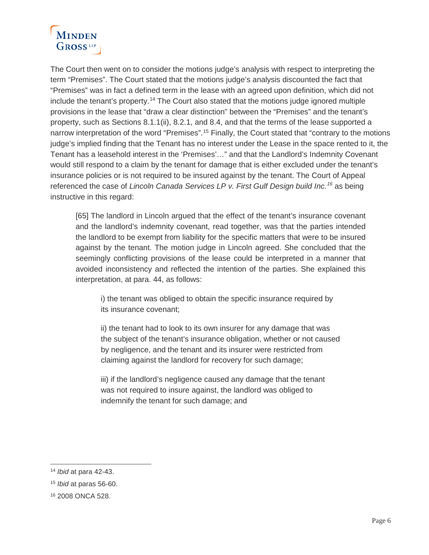

The Court then went on to consider the motions judge's analysis with respect to interpreting the term "Premises". The Court stated that the motions judge's analysis discounted the fact that "Premises" was in fact a defined term in the lease with an agreed upon definition, which did not include the tenant's property.[14](#page-5-0) The Court also stated that the motions judge ignored multiple provisions in the lease that "draw a clear distinction" between the "Premises" and the tenant's property, such as Sections 8.1.1(ii), 8.2.1, and 8.4, and that the terms of the lease supported a narrow interpretation of the word "Premises".<sup>[15](#page-5-1)</sup> Finally, the Court stated that "contrary to the motions judge's implied finding that the Tenant has no interest under the Lease in the space rented to it, the Tenant has a leasehold interest in the 'Premises'…" and that the Landlord's Indemnity Covenant would still respond to a claim by the tenant for damage that is either excluded under the tenant's insurance policies or is not required to be insured against by the tenant. The Court of Appeal referenced the case of *Lincoln Canada Services LP v. First Gulf Design build Inc.[16](#page-5-2)* as being instructive in this regard:

[65] The landlord in Lincoln argued that the effect of the tenant's insurance covenant and the landlord's indemnity covenant, read together, was that the parties intended the landlord to be exempt from liability for the specific matters that were to be insured against by the tenant. The motion judge in Lincoln agreed. She concluded that the seemingly conflicting provisions of the lease could be interpreted in a manner that avoided inconsistency and reflected the intention of the parties. She explained this interpretation, at para. 44, as follows:

i) the tenant was obliged to obtain the specific insurance required by its insurance covenant;

ii) the tenant had to look to its own insurer for any damage that was the subject of the tenant's insurance obligation, whether or not caused by negligence, and the tenant and its insurer were restricted from claiming against the landlord for recovery for such damage;

iii) if the landlord's negligence caused any damage that the tenant was not required to insure against, the landlord was obliged to indemnify the tenant for such damage; and

<span id="page-5-0"></span> <sup>14</sup> *Ibid* at para 42-43.

<span id="page-5-1"></span><sup>15</sup> *Ibid* at paras 56-60.

<span id="page-5-2"></span><sup>16</sup> 2008 ONCA 528.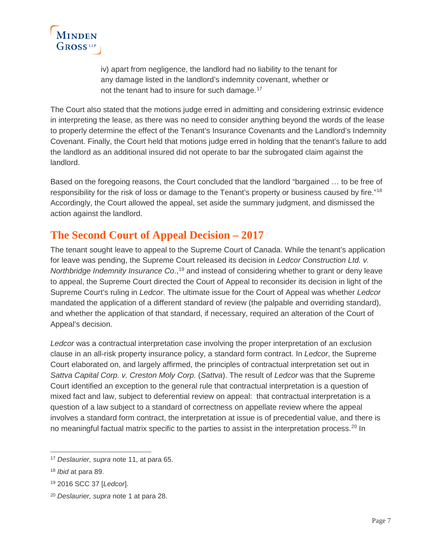

iv) apart from negligence, the landlord had no liability to the tenant for any damage listed in the landlord's indemnity covenant, whether or not the tenant had to insure for such damage.<sup>[17](#page-6-0)</sup>

The Court also stated that the motions judge erred in admitting and considering extrinsic evidence in interpreting the lease, as there was no need to consider anything beyond the words of the lease to properly determine the effect of the Tenant's Insurance Covenants and the Landlord's Indemnity Covenant. Finally, the Court held that motions judge erred in holding that the tenant's failure to add the landlord as an additional insured did not operate to bar the subrogated claim against the landlord.

Based on the foregoing reasons, the Court concluded that the landlord "bargained … to be free of responsibility for the risk of loss or damage to the Tenant's property or business caused by fire."[18](#page-6-1) Accordingly, the Court allowed the appeal, set aside the summary judgment, and dismissed the action against the landlord.

#### **The Second Court of Appeal Decision – 2017**

The tenant sought leave to appeal to the Supreme Court of Canada. While the tenant's application for leave was pending, the Supreme Court released its decision in *Ledcor Construction Ltd. v.*  Northbridge Indemnity Insurance Co.,<sup>[19](#page-6-2)</sup> and instead of considering whether to grant or deny leave to appeal, the Supreme Court directed the Court of Appeal to reconsider its decision in light of the Supreme Court's ruling in *Ledcor*. The ultimate issue for the Court of Appeal was whether *Ledcor* mandated the application of a different standard of review (the palpable and overriding standard), and whether the application of that standard, if necessary, required an alteration of the Court of Appeal's decision.

*Ledcor* was a contractual interpretation case involving the proper interpretation of an exclusion clause in an all-risk property insurance policy, a standard form contract. In *Ledcor*, the Supreme Court elaborated on, and largely affirmed, the principles of contractual interpretation set out in *Sattva Capital Corp. v. Creston Moly Corp.* (*Sattva*). The result of *Ledcor* was that the Supreme Court identified an exception to the general rule that contractual interpretation is a question of mixed fact and law, subject to deferential review on appeal: that contractual interpretation is a question of a law subject to a standard of correctness on appellate review where the appeal involves a standard form contract, the interpretation at issue is of precedential value, and there is no meaningful factual matrix specific to the parties to assist in the interpretation process.[20](#page-6-3) In

<span id="page-6-0"></span> <sup>17</sup> *Deslaurier, supra* note 11, at para 65.

<span id="page-6-1"></span><sup>18</sup> *Ibid* at para 89.

<span id="page-6-2"></span><sup>19</sup> 2016 SCC 37 [*Ledcor*].

<span id="page-6-3"></span><sup>20</sup> *Deslaurier, supra* note 1 at para 28.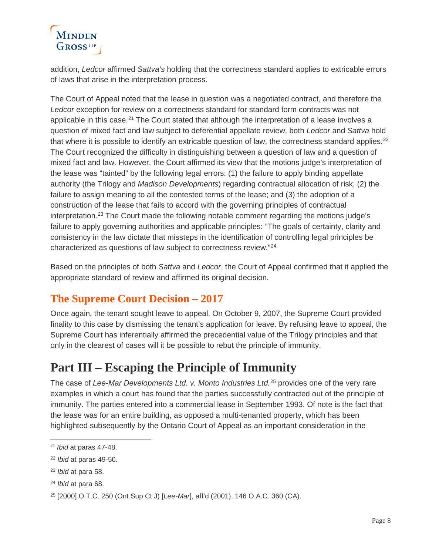## MINDEN GROSS<sup>LLP</sup>

addition, *Ledcor* affirmed *Sattva's* holding that the correctness standard applies to extricable errors of laws that arise in the interpretation process.

The Court of Appeal noted that the lease in question was a negotiated contract, and therefore the *Ledcor* exception for review on a correctness standard for standard form contracts was not applicable in this case.<sup>[21](#page-7-0)</sup> The Court stated that although the interpretation of a lease involves a question of mixed fact and law subject to deferential appellate review, both *Ledcor* and *Sattva* hold that where it is possible to identify an extricable question of law, the correctness standard applies.<sup>[22](#page-7-1)</sup> The Court recognized the difficulty in distinguishing between a question of law and a question of mixed fact and law. However, the Court affirmed its view that the motions judge's interpretation of the lease was "tainted" by the following legal errors: (1) the failure to apply binding appellate authority (the Trilogy and *Madison Developments*) regarding contractual allocation of risk; (2) the failure to assign meaning to all the contested terms of the lease; and (3) the adoption of a construction of the lease that fails to accord with the governing principles of contractual interpretation.<sup>[23](#page-7-2)</sup> The Court made the following notable comment regarding the motions judge's failure to apply governing authorities and applicable principles: "The goals of certainty, clarity and consistency in the law dictate that missteps in the identification of controlling legal principles be characterized as questions of law subject to correctness review."[24](#page-7-3)

Based on the principles of both *Sattva* and *Ledcor*, the Court of Appeal confirmed that it applied the appropriate standard of review and affirmed its original decision.

### **The Supreme Court Decision – 2017**

Once again, the tenant sought leave to appeal. On October 9, 2007, the Supreme Court provided finality to this case by dismissing the tenant's application for leave. By refusing leave to appeal, the Supreme Court has inferentially affirmed the precedential value of the Trilogy principles and that only in the clearest of cases will it be possible to rebut the principle of immunity.

## **Part III – Escaping the Principle of Immunity**

The case of *Lee-Mar Developments Ltd. v. Monto Industries Ltd.*[25](#page-7-4) provides one of the very rare examples in which a court has found that the parties successfully contracted out of the principle of immunity. The parties entered into a commercial lease in September 1993. Of note is the fact that the lease was for an entire building, as opposed a multi-tenanted property, which has been highlighted subsequently by the Ontario Court of Appeal as an important consideration in the

<span id="page-7-0"></span> $\overline{a}$ <sup>21</sup> *Ibid* at paras 47-48.

<span id="page-7-1"></span><sup>22</sup> *Ibid* at paras 49-50.

<span id="page-7-2"></span><sup>23</sup> *Ibid* at para 58.

<span id="page-7-3"></span><sup>24</sup> *Ibid* at para 68.

<span id="page-7-4"></span><sup>25</sup> [2000] O.T.C. 250 (Ont Sup Ct J) [*Lee-Mar*], aff'd (2001), 146 O.A.C. 360 (CA).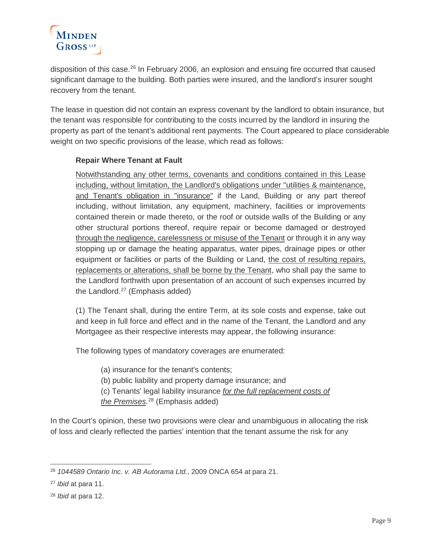## MINDEN  $G$ ROSS

disposition of this case.<sup>[26](#page-8-0)</sup> In February 2006, an explosion and ensuing fire occurred that caused significant damage to the building. Both parties were insured, and the landlord's insurer sought recovery from the tenant.

The lease in question did not contain an express covenant by the landlord to obtain insurance, but the tenant was responsible for contributing to the costs incurred by the landlord in insuring the property as part of the tenant's additional rent payments. The Court appeared to place considerable weight on two specific provisions of the lease, which read as follows:

#### **Repair Where Tenant at Fault**

Notwithstanding any other terms, covenants and conditions contained in this Lease including, without limitation, the Landlord's obligations under "utilities & maintenance, and Tenant's obligation in "insurance" if the Land, Building or any part thereof including, without limitation, any equipment, machinery, facilities or improvements contained therein or made thereto, or the roof or outside walls of the Building or any other structural portions thereof, require repair or become damaged or destroyed through the negligence, carelessness or misuse of the Tenant or through it in any way stopping up or damage the heating apparatus, water pipes, drainage pipes or other equipment or facilities or parts of the Building or Land, the cost of resulting repairs, replacements or alterations, shall be borne by the Tenant, who shall pay the same to the Landlord forthwith upon presentation of an account of such expenses incurred by the Landlord. $27$  (Emphasis added)

(1) The Tenant shall, during the entire Term, at its sole costs and expense, take out and keep in full force and effect and in the name of the Tenant, the Landlord and any Mortgagee as their respective interests may appear, the following insurance:

The following types of mandatory coverages are enumerated:

(a) insurance for the tenant's contents; (b) public liability and property damage insurance; and (c) Tenants' legal liability insurance *for the full replacement costs of* 

*the Premises*. [28](#page-8-2) (Emphasis added)

In the Court's opinion, these two provisions were clear and unambiguous in allocating the risk of loss and clearly reflected the parties' intention that the tenant assume the risk for any

<span id="page-8-0"></span> <sup>26</sup> *1044589 Ontario Inc. v. AB Autorama Ltd.*, 2009 ONCA 654 at para 21.

<span id="page-8-1"></span><sup>27</sup> *Ibid* at para 11.

<span id="page-8-2"></span><sup>28</sup> *Ibid* at para 12.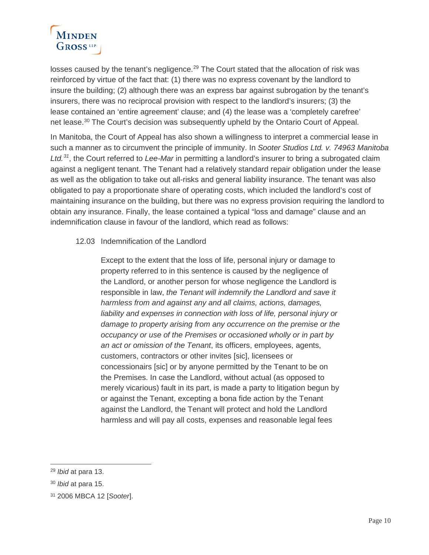## MINDEN GROSS<sup>LLP</sup>

losses caused by the tenant's negligence.<sup>[29](#page-9-0)</sup> The Court stated that the allocation of risk was reinforced by virtue of the fact that: (1) there was no express covenant by the landlord to insure the building; (2) although there was an express bar against subrogation by the tenant's insurers, there was no reciprocal provision with respect to the landlord's insurers; (3) the lease contained an 'entire agreement' clause; and (4) the lease was a 'completely carefree' net lease.<sup>[30](#page-9-1)</sup> The Court's decision was subsequently upheld by the Ontario Court of Appeal.

In Manitoba, the Court of Appeal has also shown a willingness to interpret a commercial lease in such a manner as to circumvent the principle of immunity. In *Sooter Studios Ltd. v. 74963 Manitoba Ltd.[31](#page-9-2)*, the Court referred to *Lee-Mar* in permitting a landlord's insurer to bring a subrogated claim against a negligent tenant. The Tenant had a relatively standard repair obligation under the lease as well as the obligation to take out all-risks and general liability insurance. The tenant was also obligated to pay a proportionate share of operating costs, which included the landlord's cost of maintaining insurance on the building, but there was no express provision requiring the landlord to obtain any insurance. Finally, the lease contained a typical "loss and damage" clause and an indemnification clause in favour of the landlord, which read as follows:

#### 12.03 Indemnification of the Landlord

Except to the extent that the loss of life, personal injury or damage to property referred to in this sentence is caused by the negligence of the Landlord, or another person for whose negligence the Landlord is responsible in law, *the Tenant will indemnify the Landlord and save it harmless from and against any and all claims, actions, damages, liability and expenses in connection with loss of life, personal injury or damage to property arising from any occurrence on the premise or the occupancy or use of the Premises or occasioned wholly or in part by an act or omission of the Tenant*, its officers, employees, agents, customers, contractors or other invites [sic], licensees or concessionairs [sic] or by anyone permitted by the Tenant to be on the Premises. In case the Landlord, without actual (as opposed to merely vicarious) fault in its part, is made a party to litigation begun by or against the Tenant, excepting a bona fide action by the Tenant against the Landlord, the Tenant will protect and hold the Landlord harmless and will pay all costs, expenses and reasonable legal fees

<span id="page-9-0"></span> <sup>29</sup> *Ibid* at para 13.

<span id="page-9-1"></span><sup>30</sup> *Ibid* at para 15.

<span id="page-9-2"></span><sup>31</sup> 2006 MBCA 12 [*Sooter*].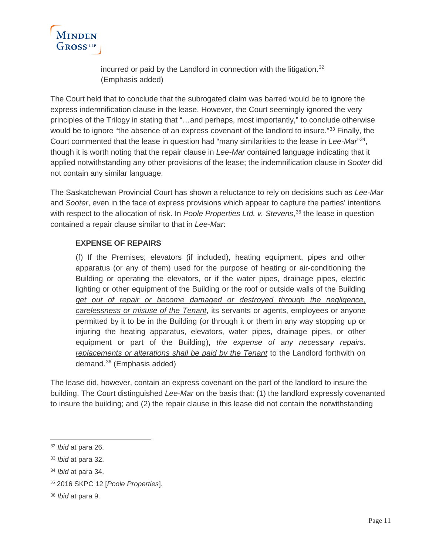

incurred or paid by the Landlord in connection with the litigation.<sup>[32](#page-10-0)</sup> (Emphasis added)

The Court held that to conclude that the subrogated claim was barred would be to ignore the express indemnification clause in the lease. However, the Court seemingly ignored the very principles of the Trilogy in stating that "…and perhaps, most importantly," to conclude otherwise would be to ignore "the absence of an express covenant of the landlord to insure."<sup>[33](#page-10-1)</sup> Finally, the Court commented that the lease in question had "many similarities to the lease in *Lee-Mar*"[34,](#page-10-2) though it is worth noting that the repair clause in *Lee-Mar* contained language indicating that it applied notwithstanding any other provisions of the lease; the indemnification clause in *Sooter* did not contain any similar language.

The Saskatchewan Provincial Court has shown a reluctance to rely on decisions such as *Lee-Mar* and *Sooter*, even in the face of express provisions which appear to capture the parties' intentions with respect to the allocation of risk. In *Poole Properties Ltd. v. Stevens*, [35](#page-10-3) the lease in question contained a repair clause similar to that in *Lee-Mar*:

#### **EXPENSE OF REPAIRS**

(f) If the Premises, elevators (if included), heating equipment, pipes and other apparatus (or any of them) used for the purpose of heating or air-conditioning the Building or operating the elevators, or if the water pipes, drainage pipes, electric lighting or other equipment of the Building or the roof or outside walls of the Building *get out of repair or become damaged or destroyed through the negligence, carelessness or misuse of the Tenant*, its servants or agents, employees or anyone permitted by it to be in the Building (or through it or them in any way stopping up or injuring the heating apparatus, elevators, water pipes, drainage pipes, or other equipment or part of the Building), *the expense of any necessary repairs, replacements or alterations shall be paid by the Tenant* to the Landlord forthwith on demand.[36](#page-10-4) (Emphasis added)

The lease did, however, contain an express covenant on the part of the landlord to insure the building. The Court distinguished *Lee-Mar* on the basis that: (1) the landlord expressly covenanted to insure the building; and (2) the repair clause in this lease did not contain the notwithstanding

<span id="page-10-0"></span> <sup>32</sup> *Ibid* at para 26.

<span id="page-10-1"></span><sup>33</sup> *Ibid* at para 32.

<span id="page-10-2"></span><sup>34</sup> *Ibid* at para 34.

<span id="page-10-3"></span><sup>35</sup> 2016 SKPC 12 [*Poole Properties*].

<span id="page-10-4"></span><sup>36</sup> *Ibid* at para 9.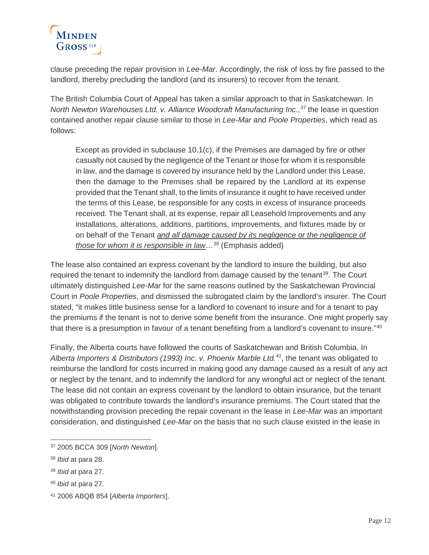

clause preceding the repair provision in *Lee-Mar*. Accordingly, the risk of loss by fire passed to the landlord, thereby precluding the landlord (and its insurers) to recover from the tenant.

The British Columbia Court of Appeal has taken a similar approach to that in Saskatchewan. In *North Newton Warehouses Ltd. v. Alliance Woodcraft Manufacturing Inc.*, [37](#page-11-0) the lease in question contained another repair clause similar to those in *Lee-Mar* and *Poole Properties*, which read as follows:

Except as provided in subclause 10.1(c), if the Premises are damaged by fire or other casualty not caused by the negligence of the Tenant or those for whom it is responsible in law, and the damage is covered by insurance held by the Landlord under this Lease, then the damage to the Premises shall be repaired by the Landlord at its expense provided that the Tenant shall, to the limits of insurance it ought to have received under the terms of this Lease, be responsible for any costs in excess of insurance proceeds received. The Tenant shall, at its expense, repair all Leasehold Improvements and any installations, alterations, additions, partitions, improvements, and fixtures made by or on behalf of the Tenant *and all damage caused by its negligence or the negligence of those for whom it is responsible in law*…[38](#page-11-1) (Emphasis added)

The lease also contained an express covenant by the landlord to insure the building, but also required the tenant to indemnify the landlord from damage caused by the tenant<sup>39</sup>. The Court ultimately distinguished *Lee-Mar* for the same reasons outlined by the Saskatchewan Provincial Court in *Poole Properties*, and dismissed the subrogated claim by the landlord's insurer. The Court stated, "it makes little business sense for a landlord to covenant to insure and for a tenant to pay the premiums if the tenant is not to derive some benefit from the insurance. One might properly say that there is a presumption in favour of a tenant benefiting from a landlord's covenant to insure."<sup>[40](#page-11-3)</sup>

Finally, the Alberta courts have followed the courts of Saskatchewan and British Columbia. In *Alberta Importers & Distributors (1993) Inc. v. Phoenix Marble Ltd.[41](#page-11-4)*, the tenant was obligated to reimburse the landlord for costs incurred in making good any damage caused as a result of any act or neglect by the tenant, and to indemnify the landlord for any wrongful act or neglect of the tenant. The lease did not contain an express covenant by the landlord to obtain insurance, but the tenant was obligated to contribute towards the landlord's insurance premiums. The Court stated that the notwithstanding provision preceding the repair covenant in the lease in *Lee-Mar* was an important consideration, and distinguished *Lee-Mar* on the basis that no such clause existed in the lease in

<span id="page-11-0"></span> <sup>37</sup> 2005 BCCA 309 [*North Newton*].

<span id="page-11-1"></span><sup>38</sup> *Ibid* at para 28.

<span id="page-11-2"></span><sup>39</sup> *Ibid* at para 27.

<span id="page-11-3"></span><sup>40</sup> *Ibid* at para 27.

<span id="page-11-4"></span><sup>41</sup> 2006 ABQB 854 [*Alberta Importers*].